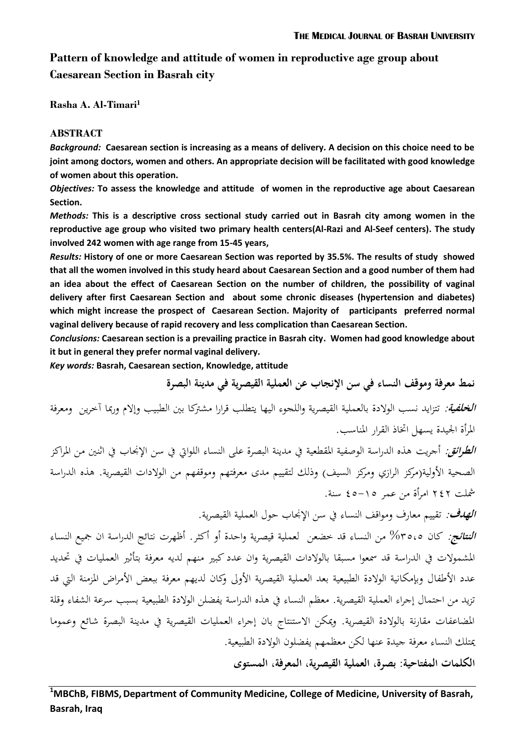# **Pattern of knowledge and attitude of women in reproductive age group about Caesarean Section in Basrah city**

**Rasha A. Al-Timari<sup>1</sup>**

## **ABSTRACT**

*Background:* **Caesarean section is increasing as a means of delivery. A decision on this choice need to be joint among doctors, women and others. An appropriate decision will be facilitated with good knowledge of women about this operation.** 

*Objectives:* **To assess the knowledge and attitude of women in the reproductive age about Caesarean Section.**

*Methods:* **This is a descriptive cross sectional study carried out in Basrah city among women in the reproductive age group who visited two primary health centers(Al-Razi and Al-Seef centers). The study involved 242 women with age range from 15-45 years,** 

*Results:* **History of one or more Caesarean Section was reported by 35.5%. The results of study showed that all the women involved in this study heard about Caesarean Section and a good number of them had an idea about the effect of Caesarean Section on the number of children, the possibility of vaginal delivery after first Caesarean Section and about some chronic diseases (hypertension and diabetes) which might increase the prospect of Caesarean Section. Majority of participants preferred normal vaginal delivery because of rapid recovery and less complication than Caesarean Section.**

*Conclusions:* **Caesarean section is a prevailing practice in Basrah city. Women had good knowledge about it but in general they prefer normal vaginal delivery.**

*Key words:* **Basrah, Caesarean section, Knowledge, attitude** 

**نمط معرفة وموقف النساء في سن اإلنجاب عن العملية القيصرية في مدينة البصرة الخلفية**: تتزايد نسب الوالدة بالعملية القيصرية واللجوء اليها يتطلب قرارا مشرتكا بني الطبيب وإالم ورمبا آخرين ومعرفة املرأة اجليدة يسهل اختاذ القرار املناسب. **ا***لطرائق:* **أ**جريت هذه الدراسة الوصفية المقطعية في مدينة البصرة على النساء اللواتي في سن الإنجاب في اثنين من المراكز

الصحية الأولية(مركز الرازي ومركز السيف) وذلك لتقييم مدى معرفتهم وموقفهم من الولادات القيصرية. هذه الدراسة مشلت 242 امرأة من عمر 41-51 سنة.

**الهدف**: تقييم معارف ومواقف النساء يف سن اإلجناب حول العملية القيصرية.

**النتائج**: كان %5151 من النساء قد خضعن لعملية قيصرية واحدة أو أكثر. أظهرت نتائج الدراسة ان مجيع النساء املشموالت يف الدراسة قد مسعوا مسبقا بالوالدات القيصرية وان عدد كبري منهم لديو معرفة بتأثري العمليات يف حتديد عدد الأطفال وبإمكانية الولادة الطبيعية بعد العملية القيصرية الأولى وكان لديهم معرفة ببعض الأمراض المزمنة التي قد تزيد من احتمال إجراء العملية القيصرية. معظم النساء في هذه الدراسة يفضلن الولادة الطبيعية بسبب سرعة الشفاء وقلة املضاعفات مقارنة بالوالدة القيصرية. وميكن االستنتاج بان إجراء العمليات القيصرية يف مدينة البصرة شائع وعموما ميتلك النساء معرفة جيدة عنها لكن معظمهم يفضلون الوالدة الطبيعية.

**الكلمات المفتاحية: بصرة، العملية القيصرية، المعرفة، المستوى**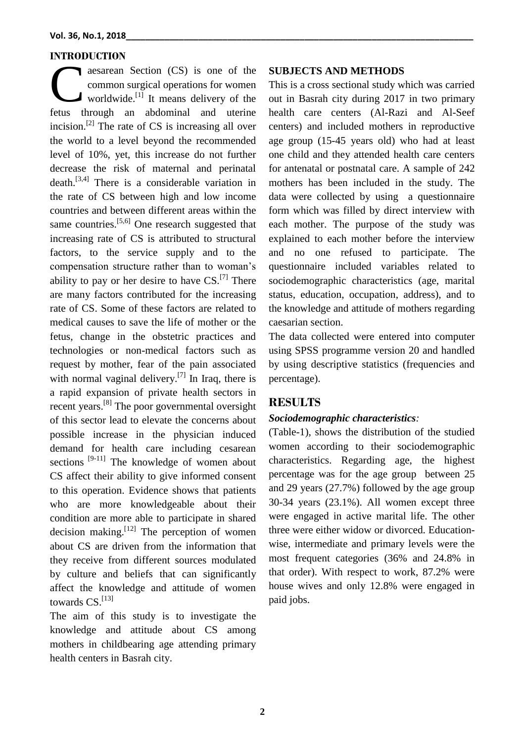#### **INTRODUCTION**

aesarean Section (CS) is one of the common surgical operations for women worldwide.<sup>[1]</sup> It means delivery of the aesarean Section (CS) is one of the<br>common surgical operations for women<br>worldwide.<sup>[1]</sup> It means delivery of the<br>fetus through an abdominal and uterine incision.<sup>[2]</sup> The rate of CS is increasing all over the world to a level beyond the recommended level of 10%, yet, this increase do not further decrease the risk of maternal and perinatal death. [3,4] There is a considerable variation in the rate of CS between high and low income countries and between different areas within the same countries.<sup>[5,6]</sup> One research suggested that increasing rate of CS is attributed to structural factors, to the service supply and to the compensation structure rather than to woman's ability to pay or her desire to have  $CS$ .<sup>[7]</sup> There are many factors contributed for the increasing rate of CS. Some of these factors are related to medical causes to save the life of mother or the fetus, change in the obstetric practices and technologies or non-medical factors such as request by mother, fear of the pain associated with normal vaginal delivery.<sup>[7]</sup> In Iraq, there is a rapid expansion of private health sectors in recent years.<sup>[8]</sup> The poor governmental oversight of this sector lead to elevate the concerns about possible increase in the physician induced demand for health care including cesarean sections  $[9-11]$  The knowledge of women about CS affect their ability to give informed consent to this operation. Evidence shows that patients who are more knowledgeable about their condition are more able to participate in shared decision making.  $[12]$  The perception of women about CS are driven from the information that they receive from different sources modulated by culture and beliefs that can significantly affect the knowledge and attitude of women towards CS.<sup>[13]</sup>

The aim of this study is to investigate the knowledge and attitude about CS among mothers in childbearing age attending primary health centers in Basrah city.

### **SUBJECTS AND METHODS**

This is a cross sectional study which was carried out in Basrah city during 2017 in two primary health care centers (Al-Razi and Al-Seef centers) and included mothers in reproductive age group (15-45 years old) who had at least one child and they attended health care centers for antenatal or postnatal care. A sample of 242 mothers has been included in the study. The data were collected by using a questionnaire form which was filled by direct interview with each mother. The purpose of the study was explained to each mother before the interview and no one refused to participate. The questionnaire included variables related to sociodemographic characteristics (age, marital status, education, occupation, address), and to the knowledge and attitude of mothers regarding caesarian section.

The data collected were entered into computer using SPSS programme version 20 and handled by using descriptive statistics (frequencies and percentage).

## **RESULTS**

## *Sociodemographic characteristics:*

(Table-1), shows the distribution of the studied women according to their sociodemographic characteristics. Regarding age, the highest percentage was for the age group between 25 and 29 years (27.7%) followed by the age group 30-34 years (23.1%). All women except three were engaged in active marital life. The other three were either widow or divorced. Educationwise, intermediate and primary levels were the most frequent categories (36% and 24.8% in that order). With respect to work, 87.2% were house wives and only 12.8% were engaged in paid jobs.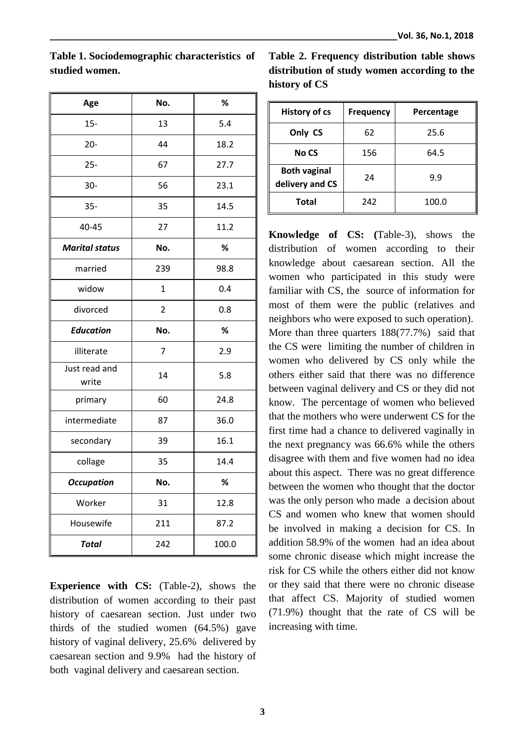| Age                    | No.            | %     |  |
|------------------------|----------------|-------|--|
| $15 -$                 | 13             | 5.4   |  |
| $20 -$                 | 44             | 18.2  |  |
| $25 -$                 | 67             | 27.7  |  |
| $30-$                  | 56             | 23.1  |  |
| $35 -$                 | 35             | 14.5  |  |
| 40-45                  | 27             | 11.2  |  |
| <b>Marital status</b>  | No.            | %     |  |
| married                | 239            | 98.8  |  |
| widow                  | $\mathbf{1}$   | 0.4   |  |
| divorced               | $\overline{2}$ | 0.8   |  |
| <b>Education</b>       | No.            | %     |  |
| illiterate             | 7              | 2.9   |  |
| Just read and<br>write | 14             | 5.8   |  |
| primary                | 60             | 24.8  |  |
| intermediate           | 87             | 36.0  |  |
| secondary              | 39             | 16.1  |  |
| collage                | 35             | 14.4  |  |
| <b>Occupation</b>      | No.            | %     |  |
| Worker                 | 31             | 12.8  |  |
| Housewife              | 211            | 87.2  |  |
| <b>Total</b>           | 242            | 100.0 |  |

**Table 1. Sociodemographic characteristics of studied women.**

**Table 2. Frequency distribution table shows distribution of study women according to the history of CS**

| <b>History of cs</b>                   | <b>Frequency</b> | Percentage |
|----------------------------------------|------------------|------------|
| Only CS                                | 62               | 25.6       |
| <b>No CS</b>                           | 156              | 64.5       |
| <b>Both vaginal</b><br>delivery and CS | 24               | 9.9        |
| <b>Total</b>                           | 242              | 100.0      |

**Knowledge of CS: (**Table-3), shows the distribution of women according to their knowledge about caesarean section. All the women who participated in this study were familiar with CS, the source of information for most of them were the public (relatives and neighbors who were exposed to such operation). More than three quarters  $188(77.7%)$  said that the CS were limiting the number of children in women who delivered by CS only while the others either said that there was no difference between vaginal delivery and CS or they did not know. The percentage of women who believed that the mothers who were underwent CS for the first time had a chance to delivered vaginally in the next pregnancy was 66.6% while the others disagree with them and five women had no idea about this aspect. There was no great difference between the women who thought that the doctor was the only person who made a decision about CS and women who knew that women should be involved in making a decision for CS. In addition 58.9% of the women had an idea about some chronic disease which might increase the risk for CS while the others either did not know or they said that there were no chronic disease that affect CS. Majority of studied women (71.9%) thought that the rate of CS will be increasing with time.

**Experience with CS:** (Table-2), shows the distribution of women according to their past history of caesarean section. Just under two thirds of the studied women (64.5%) gave history of vaginal delivery, 25.6% delivered by caesarean section and 9.9% had the history of both vaginal delivery and caesarean section.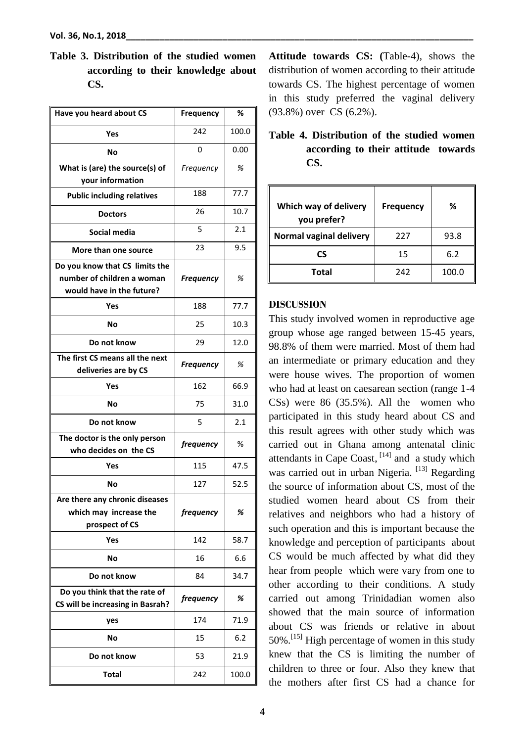**Table 3. Distribution of the studied women according to their knowledge about CS.**

| Have you heard about CS                                                                   | Frequency        | %     |
|-------------------------------------------------------------------------------------------|------------------|-------|
| Yes                                                                                       | 242              | 100.0 |
| Nο                                                                                        | 0                | 0.00  |
| What is (are) the source(s) of<br>your information                                        | Frequency        | %     |
| <b>Public including relatives</b>                                                         | 188              | 77.7  |
| <b>Doctors</b>                                                                            | 26               | 10.7  |
| Social media                                                                              | 5                | 2.1   |
| More than one source                                                                      | 23               | 9.5   |
| Do you know that CS limits the<br>number of children a woman<br>would have in the future? | <b>Frequency</b> | %     |
| Yes                                                                                       | 188              | 77.7  |
| No                                                                                        | 25               | 10.3  |
| Do not know                                                                               | 29               | 12.0  |
| The first CS means all the next<br>deliveries are by CS                                   | <b>Frequency</b> | %     |
| Yes                                                                                       | 162              | 66.9  |
| No                                                                                        | 75               | 31.0  |
| Do not know                                                                               | 5                | 2.1   |
| The doctor is the only person<br>who decides on the CS                                    | frequency        | %     |
| Yes                                                                                       | 115              | 47.5  |
| No                                                                                        | 127              | 52.5  |
| Are there any chronic diseases<br>which may increase the<br>prospect of CS                | frequency        | %     |
| Yes                                                                                       | 142              | 58.7  |
| No                                                                                        | 16               | 6.6   |
| Do not know                                                                               | 84               | 34.7  |
| Do you think that the rate of<br>CS will be increasing in Basrah?                         | frequency        | %     |
| yes                                                                                       | 174              | 71.9  |
| No                                                                                        | 15               | 6.2   |
| Do not know                                                                               | 53               | 21.9  |
| Total                                                                                     | 242              | 100.0 |

**Attitude towards CS: (**Table-4), shows the distribution of women according to their attitude towards CS. The highest percentage of women in this study preferred the vaginal delivery (93.8%) over CS (6.2%).

**Table 4. Distribution of the studied women according to their attitude towards CS.**

| Which way of delivery<br>you prefer? | <b>Frequency</b> | ℅     |
|--------------------------------------|------------------|-------|
| Normal vaginal delivery              | 227              | 93.8  |
| CS                                   | 15               | 6.2   |
| <b>Total</b>                         | 242              | 100.0 |

## **DISCUSSION**

This study involved women in reproductive age group whose age ranged between 15-45 years, 98.8% of them were married. Most of them had an intermediate or primary education and they were house wives. The proportion of women who had at least on caesarean section (range 1-4 CSs) were 86 (35.5%). All the women who participated in this study heard about CS and this result agrees with other study which was carried out in Ghana among antenatal clinic attendants in Cape Coast, [14] and a study which was carried out in urban Nigeria.<sup>[13]</sup> Regarding the source of information about CS, most of the studied women heard about CS from their relatives and neighbors who had a history of such operation and this is important because the knowledge and perception of participants about CS would be much affected by what did they hear from people which were vary from one to other according to their conditions. A study carried out among Trinidadian women also showed that the main source of information about CS was friends or relative in about  $50\%$ .<sup>[15]</sup> High percentage of women in this study knew that the CS is limiting the number of children to three or four. Also they knew that the mothers after first CS had a chance for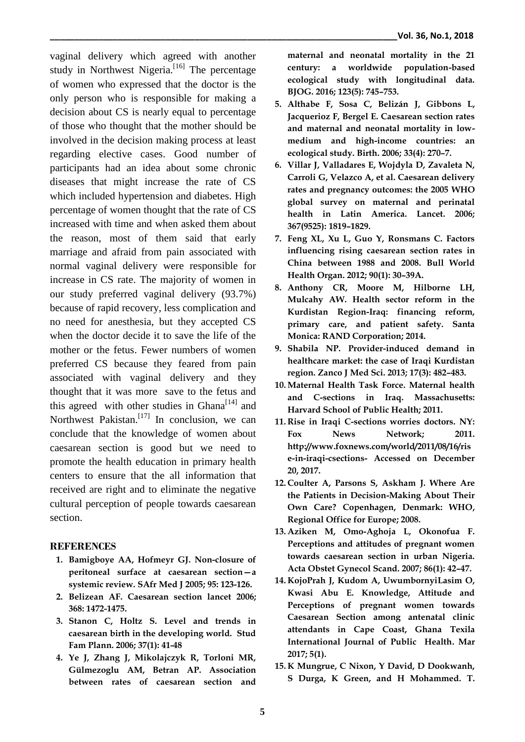vaginal delivery which agreed with another study in Northwest Nigeria.<sup>[16]</sup> The percentage of women who expressed that the doctor is the only person who is responsible for making a decision about CS is nearly equal to percentage of those who thought that the mother should be involved in the decision making process at least regarding elective cases. Good number of participants had an idea about some chronic diseases that might increase the rate of CS which included hypertension and diabetes. High percentage of women thought that the rate of CS increased with time and when asked them about the reason, most of them said that early marriage and afraid from pain associated with normal vaginal delivery were responsible for increase in CS rate. The majority of women in our study preferred vaginal delivery (93.7%) because of rapid recovery, less complication and no need for anesthesia, but they accepted CS when the doctor decide it to save the life of the mother or the fetus. Fewer numbers of women preferred CS because they feared from pain associated with vaginal delivery and they thought that it was more save to the fetus and this agreed with other studies in Ghana $^{[14]}$  and Northwest Pakistan.<sup>[17]</sup> In conclusion, we can conclude that the knowledge of women about caesarean section is good but we need to promote the health education in primary health centers to ensure that the all information that received are right and to eliminate the negative cultural perception of people towards caesarean section.

## **REFERENCES**

- **1. Bamigboye AA, Hofmeyr GJ. Non-closure of peritoneal surface at caesarean section—a systemic review. SAfr Med J 2005; 95: 123-126.**
- **2. Belizean AF. Caesarean section lancet 2006; 368: 1472-1475.**
- **3. Stanon C, Holtz S. Level and trends in caesarean birth in the developing world. Stud Fam Plann. 2006; 37(1): 41-48**
- **4. Ye J, Zhang J, Mikolajczyk R, Torloni MR, Gülmezoglu AM, Betran AP. Association between rates of caesarean section and**

**maternal and neonatal mortality in the 21 century: a worldwide population-based ecological study with longitudinal data. BJOG. 2016; 123(5): 745–753.**

- **5. Althabe F, Sosa C, Belizán J, Gibbons L, Jacquerioz F, Bergel E. Caesarean section rates and maternal and neonatal mortality in lowmedium and high-income countries: an ecological study. Birth. 2006; 33(4): 270–7.**
- **6. Villar J, Valladares E, Wojdyla D, Zavaleta N, Carroli G, Velazco A, et al. Caesarean delivery rates and pregnancy outcomes: the 2005 WHO global survey on maternal and perinatal health in Latin America. Lancet. 2006; 367(9525): 1819–1829.**
- **7. Feng XL, Xu L, Guo Y, Ronsmans C. Factors influencing rising caesarean section rates in China between 1988 and 2008. Bull World Health Organ. 2012; 90(1): 30–39A.**
- **8. Anthony CR, Moore M, Hilborne LH, Mulcahy AW. Health sector reform in the Kurdistan Region-Iraq: financing reform, primary care, and patient safety. Santa Monica: RAND Corporation; 2014.**
- **9. Shabila NP. Provider-induced demand in healthcare market: the case of Iraqi Kurdistan region. Zanco J Med Sci. 2013; 17(3): 482–483.**
- **10. Maternal Health Task Force. Maternal health and C-sections in Iraq. Massachusetts: Harvard School of Public Health; 2011.**
- **11. Rise in Iraqi C-sections worries doctors. NY:**  Fox News Network; 2011. **http://www.foxnews.com/world/2011/08/16/ris e-in-iraqi-csections- Accessed on December 20, 2017.**
- **12. Coulter A, Parsons S, Askham J. Where Are the Patients in Decision-Making About Their Own Care? Copenhagen, Denmark: WHO, Regional Office for Europe; 2008.**
- **13. Aziken M, Omo-Aghoja L, Okonofua F. Perceptions and attitudes of pregnant women towards caesarean section in urban Nigeria. Acta Obstet Gynecol Scand. 2007; 86(1): 42–47.**
- **14. KojoPrah J, Kudom A, UwumbornyiLasim O, Kwasi Abu E. Knowledge, Attitude and Perceptions of pregnant women towards Caesarean Section among antenatal clinic attendants in Cape Coast, Ghana Texila International Journal of Public Health. Mar 2017; 5(1).**
- **15. K Mungrue, C Nixon, Y David, D Dookwanh, S Durga, K Green, and H Mohammed. T.**